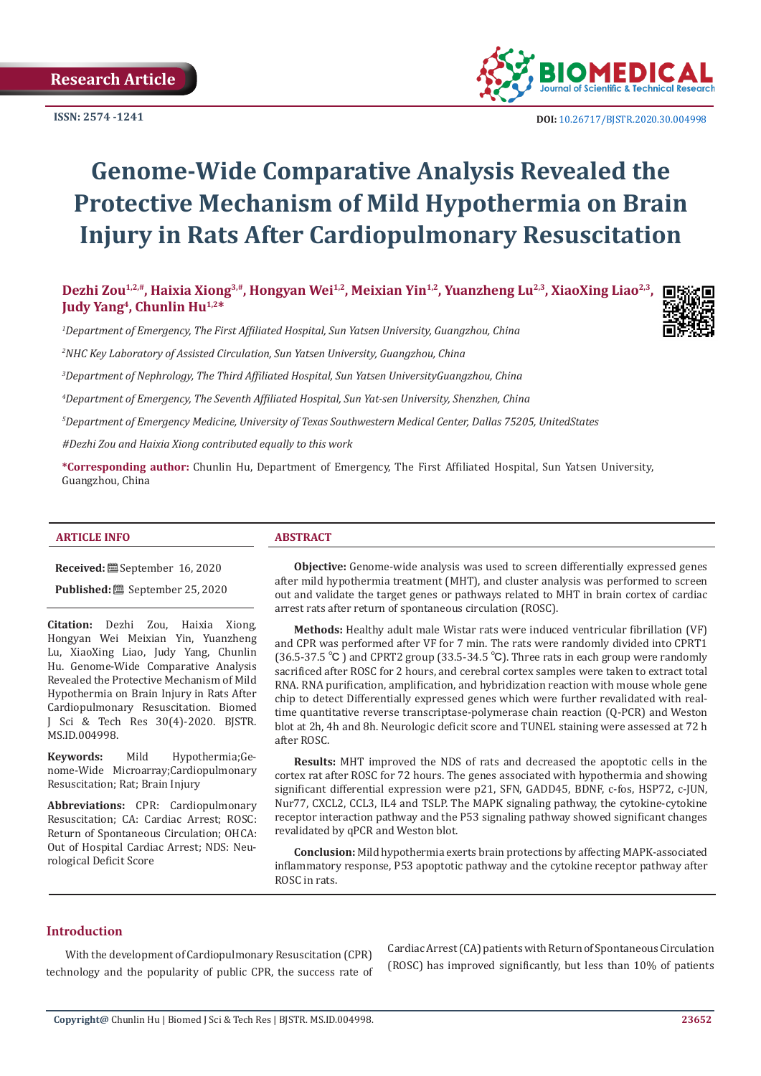

 **DOI:** [10.26717/BJSTR.2020.30.00499](http://dx.doi.org/10.26717/BJSTR.2020.30.004998)8

# **Genome-Wide Comparative Analysis Revealed the Protective Mechanism of Mild Hypothermia on Brain Injury in Rats After Cardiopulmonary Resuscitation**

Dezhi Zou<sup>1,2,#</sup>, Haixia Xiong<sup>3,#</sup>, Hongyan Wei<sup>1,2</sup>, Meixian Yin<sup>1,2</sup>, Yuanzheng Lu<sup>2,3</sup>, XiaoXing Liao<sup>2,3</sup>, **Judy Yang4, Chunlin Hu1,2\***

*1 Department of Emergency, The First Affiliated Hospital, Sun Yatsen University, Guangzhou, China* 

*2 NHC Key Laboratory of Assisted Circulation, Sun Yatsen University, Guangzhou, China*

*3 Department of Nephrology, The Third Affiliated Hospital, Sun Yatsen UniversityGuangzhou, China* 

*4 Department of Emergency, The Seventh Affiliated Hospital, Sun Yat-sen University, Shenzhen, China*

*5 Department of Emergency Medicine, University of Texas Southwestern Medical Center, Dallas 75205, UnitedStates*

*#Dezhi Zou and Haixia Xiong contributed equally to this work*

**\*Corresponding author:** Chunlin Hu, Department of Emergency, The First Affiliated Hospital, Sun Yatsen University, Guangzhou, China

#### **ARTICLE INFO ABSTRACT**

**Received:** September 16, 2020

**Published:** ■ September 25, 2020

**Citation:** Dezhi Zou, Haixia Xiong, Hongyan Wei Meixian Yin, Yuanzheng Lu, XiaoXing Liao, Judy Yang, Chunlin Hu. Genome-Wide Comparative Analysis Revealed the Protective Mechanism of Mild Hypothermia on Brain Injury in Rats After Cardiopulmonary Resuscitation. Biomed J Sci & Tech Res 30(4)-2020. BJSTR. MS.ID.004998.

**Keywords:** Mild Hypothermia;Genome-Wide Microarray;Cardiopulmonary Resuscitation; Rat; Brain Injury

**Abbreviations:** CPR: Cardiopulmonary Resuscitation; CA: Cardiac Arrest; ROSC: Return of Spontaneous Circulation; OHCA: Out of Hospital Cardiac Arrest; NDS: Neurological Deficit Score

**Objective:** Genome-wide analysis was used to screen differentially expressed genes after mild hypothermia treatment (MHT), and cluster analysis was performed to screen out and validate the target genes or pathways related to MHT in brain cortex of cardiac arrest rats after return of spontaneous circulation (ROSC).

**Methods:** Healthy adult male Wistar rats were induced ventricular fibrillation (VF) and CPR was performed after VF for 7 min. The rats were randomly divided into CPRT1 (36.5-37.5 ℃ ) and CPRT2 group (33.5-34.5 ℃). Three rats in each group were randomly sacrificed after ROSC for 2 hours, and cerebral cortex samples were taken to extract total RNA. RNA purification, amplification, and hybridization reaction with mouse whole gene chip to detect Differentially expressed genes which were further revalidated with realtime quantitative reverse transcriptase-polymerase chain reaction (Q-PCR) and Weston blot at 2h, 4h and 8h. Neurologic deficit score and TUNEL staining were assessed at 72 h after ROSC.

**Results:** MHT improved the NDS of rats and decreased the apoptotic cells in the cortex rat after ROSC for 72 hours. The genes associated with hypothermia and showing significant differential expression were p21, SFN, GADD45, BDNF, c-fos, HSP72, c-JUN, Nur77, CXCL2, CCL3, IL4 and TSLP. The MAPK signaling pathway, the cytokine-cytokine receptor interaction pathway and the P53 signaling pathway showed significant changes revalidated by qPCR and Weston blot.

**Conclusion:** Mild hypothermia exerts brain protections by affecting MAPK-associated inflammatory response, P53 apoptotic pathway and the cytokine receptor pathway after ROSC in rats.

#### **Introduction**

With the development of Cardiopulmonary Resuscitation (CPR) technology and the popularity of public CPR, the success rate of Cardiac Arrest (CA) patients with Return of Spontaneous Circulation (ROSC) has improved significantly, but less than 10% of patients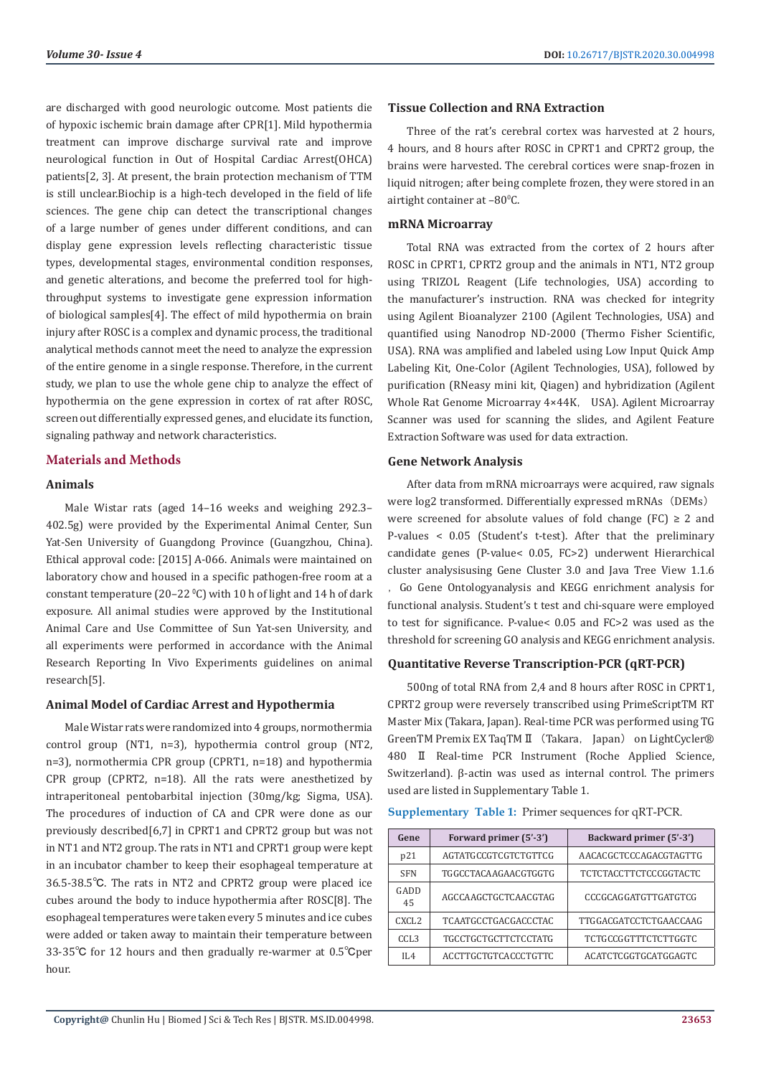are discharged with good neurologic outcome. Most patients die of hypoxic ischemic brain damage after CPR[1]. Mild hypothermia treatment can improve discharge survival rate and improve neurological function in Out of Hospital Cardiac Arrest(OHCA) patients[2, 3]. At present, the brain protection mechanism of TTM is still unclear.Biochip is a high-tech developed in the field of life sciences. The gene chip can detect the transcriptional changes of a large number of genes under different conditions, and can display gene expression levels reflecting characteristic tissue types, developmental stages, environmental condition responses, and genetic alterations, and become the preferred tool for highthroughput systems to investigate gene expression information of biological samples[4]. The effect of mild hypothermia on brain injury after ROSC is a complex and dynamic process, the traditional analytical methods cannot meet the need to analyze the expression of the entire genome in a single response. Therefore, in the current study, we plan to use the whole gene chip to analyze the effect of hypothermia on the gene expression in cortex of rat after ROSC, screen out differentially expressed genes, and elucidate its function, signaling pathway and network characteristics.

### **Materials and Methods**

#### **Animals**

Male Wistar rats (aged 14–16 weeks and weighing 292.3– 402.5g) were provided by the Experimental Animal Center, Sun Yat-Sen University of Guangdong Province (Guangzhou, China). Ethical approval code: [2015] A-066. Animals were maintained on laboratory chow and housed in a specific pathogen-free room at a constant temperature (20-22  $\textdegree C$ ) with 10 h of light and 14 h of dark exposure. All animal studies were approved by the Institutional Animal Care and Use Committee of Sun Yat-sen University, and all experiments were performed in accordance with the Animal Research Reporting In Vivo Experiments guidelines on animal research[5].

#### **Animal Model of Cardiac Arrest and Hypothermia**

Male Wistar rats were randomized into 4 groups, normothermia control group (NT1, n=3), hypothermia control group (NT2, n=3), normothermia CPR group (CPRT1, n=18) and hypothermia CPR group (CPRT2, n=18). All the rats were anesthetized by intraperitoneal pentobarbital injection (30mg/kg; Sigma, USA). The procedures of induction of CA and CPR were done as our previously described[6,7] in CPRT1 and CPRT2 group but was not in NT1 and NT2 group. The rats in NT1 and CPRT1 group were kept in an incubator chamber to keep their esophageal temperature at 36.5-38.5℃. The rats in NT2 and CPRT2 group were placed ice cubes around the body to induce hypothermia after ROSC[8]. The esophageal temperatures were taken every 5 minutes and ice cubes were added or taken away to maintain their temperature between 33-35℃ for 12 hours and then gradually re-warmer at 0.5℃per hour.

#### **Tissue Collection and RNA Extraction**

Three of the rat's cerebral cortex was harvested at 2 hours, 4 hours, and 8 hours after ROSC in CPRT1 and CPRT2 group, the brains were harvested. The cerebral cortices were snap-frozen in liquid nitrogen; after being complete frozen, they were stored in an airtight container at  $-80^{\circ}$ C.

#### **mRNA Microarray**

Total RNA was extracted from the cortex of 2 hours after ROSC in CPRT1, CPRT2 group and the animals in NT1, NT2 group using TRIZOL Reagent (Life technologies, USA) according to the manufacturer's instruction. RNA was checked for integrity using Agilent Bioanalyzer 2100 (Agilent Technologies, USA) and quantified using Nanodrop ND-2000 (Thermo Fisher Scientific, USA). RNA was amplified and labeled using Low Input Quick Amp Labeling Kit, One-Color (Agilent Technologies, USA), followed by purification (RNeasy mini kit, Qiagen) and hybridization (Agilent Whole Rat Genome Microarray 4×44K, USA). Agilent Microarray Scanner was used for scanning the slides, and Agilent Feature Extraction Software was used for data extraction.

#### **Gene Network Analysis**

After data from mRNA microarrays were acquired, raw signals were log2 transformed. Differentially expressed mRNAs (DEMs) were screened for absolute values of fold change (FC)  $\geq$  2 and P-values < 0.05 (Student's t-test). After that the preliminary candidate genes (P-value< 0.05, FC>2) underwent Hierarchical cluster analysisusing Gene Cluster 3.0 and Java Tree View 1.1.6 ,Go Gene Ontologyanalysis and KEGG enrichment analysis for functional analysis. Student's t test and chi-square were employed to test for significance. P-value< 0.05 and FC>2 was used as the threshold for screening GO analysis and KEGG enrichment analysis.

# **Quantitative Reverse Transcription-PCR (qRT-PCR)**

500ng of total RNA from 2,4 and 8 hours after ROSC in CPRT1, CPRT2 group were reversely transcribed using PrimeScriptTM RT Master Mix (Takara, Japan). Real-time PCR was performed using TG GreenTM Premix EX TaqTM II (Takara, Japan) on LightCycler® 480 Ⅱ Real-time PCR Instrument (Roche Applied Science, Switzerland). β-actin was used as internal control. The primers used are listed in Supplementary Table 1.

|  |  |  |  | Supplementary Table 1: Primer sequences for qRT-PCR. |  |
|--|--|--|--|------------------------------------------------------|--|
|--|--|--|--|------------------------------------------------------|--|

| Gene              | Forward primer (5'-3')      | Backward primer (5'-3')       |
|-------------------|-----------------------------|-------------------------------|
| p21               | AGTATGCCGTCGTCTGTTCG        | AACACGCTCCCAGACGTAGTTG        |
| <b>SFN</b>        | TGGCCTACAAGAACGTGGTG        | <b>TCTCTACCTTCTCCCGGTACTC</b> |
| GADD<br>45        | AGCCAAGCTGCTCAACGTAG        | <b>CCCGCAGGATGTTGATGTCG</b>   |
| CXCL <sub>2</sub> | <b>TCAATGCCTGACGACCCTAC</b> | TTGGACGATCCTCTGAACCAAG        |
| CCL <sub>3</sub>  | <b>TGCCTGCTGCTTCTCCTATG</b> | <b>TCTGCCGGTTTCTCTTGGTC</b>   |
| II.4              | <b>ACCTTGCTGTCACCCTGTTC</b> | <b>ACATCTCGGTGCATGGAGTC</b>   |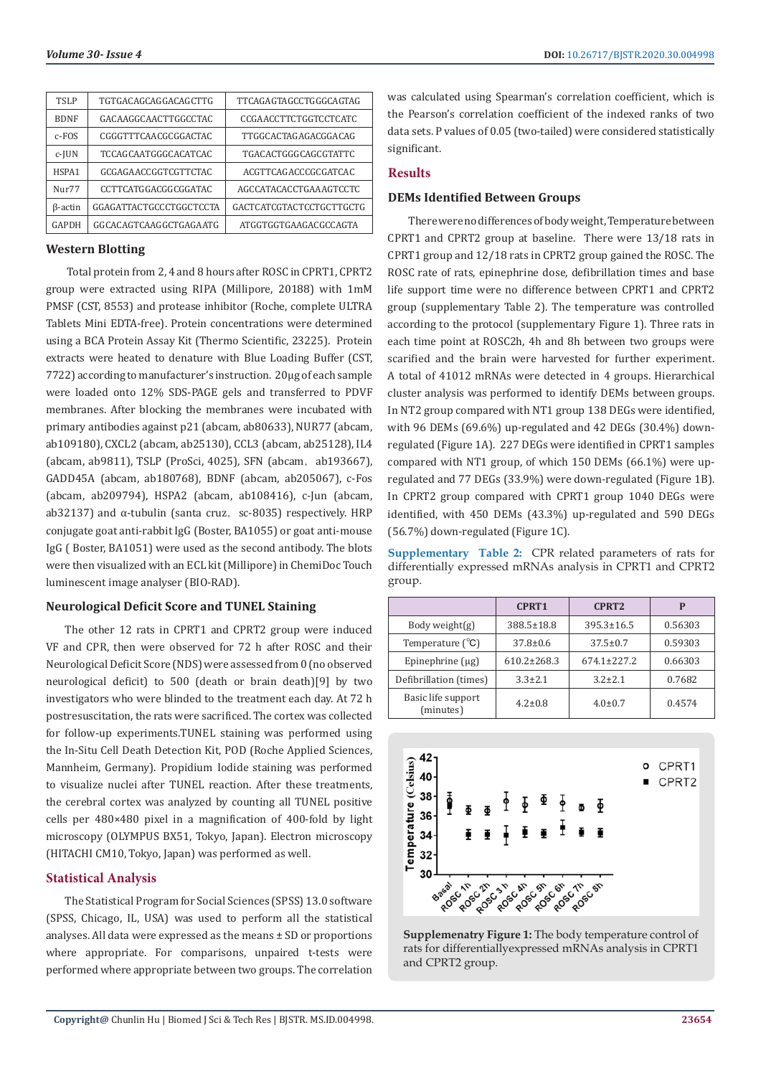| TSLP                            | TGTGACAGCAGGACAGCTTG    | TTCAGAGTAGCCTGGGCAGTAG   |
|---------------------------------|-------------------------|--------------------------|
| <b>BDNF</b>                     | GACAAGGCAACTTGGCCTAC    | CCGAACCTTCTGGTCCTCATC    |
| $c$ -FOS                        | CGGGTTTCAACGCGGACTAC    | TTGGCACTAGAGACGGACAG     |
| $c$ -JUN                        | TCCAGCAATGGGCACATCAC    | TGACACTGGGCAGCGTATTC     |
| HSPA1                           | GCGAGAACCGGTCGTTCTAC    | ACGTTCAGACCCGCGATCAC     |
| N <sub>11</sub> r <sub>77</sub> | CCTTCATGGACGGCGGATAC    | AGCCATACACCTGAAAGTCCTC   |
| $\beta$ -actin                  | GGAGATTACTGCCCTGGCTCCTA | GACTCATCGTACTCCTGCTTGCTG |
| GAPDH                           | GGCACAGTCAAGGCTGAGAATG  | ATGGTGGTGAAGACGCCAGTA    |

#### **Western Blotting**

 Total protein from 2, 4 and 8 hours after ROSC in CPRT1, CPRT2 group were extracted using RIPA (Millipore, 20188) with 1mM PMSF (CST, 8553) and protease inhibitor (Roche, complete ULTRA Tablets Mini EDTA-free). Protein concentrations were determined using a BCA Protein Assay Kit (Thermo Scientific, 23225). Protein extracts were heated to denature with Blue Loading Buffer (CST, 7722) according to manufacturer's instruction. 20μg of each sample were loaded onto 12% SDS-PAGE gels and transferred to PDVF membranes. After blocking the membranes were incubated with primary antibodies against p21 (abcam, ab80633), NUR77 (abcam, ab109180), CXCL2 (abcam, ab25130), CCL3 (abcam, ab25128), IL4 (abcam, ab9811), TSLP (ProSci, 4025), SFN (abcam, ab193667), GADD45A (abcam, ab180768), BDNF (abcam, ab205067), c-Fos (abcam, ab209794), HSPA2 (abcam, ab108416), c-Jun (abcam, ab32137) and  $\alpha$ -tubulin (santa cruz, sc-8035) respectively. HRP conjugate goat anti-rabbit IgG (Boster, BA1055) or goat anti-mouse IgG ( Boster, BA1051) were used as the second antibody. The blots were then visualized with an ECL kit (Millipore) in ChemiDoc Touch luminescent image analyser (BIO-RAD).

# **Neurological Deficit Score and TUNEL Staining**

The other 12 rats in CPRT1 and CPRT2 group were induced VF and CPR, then were observed for 72 h after ROSC and their Neurological Deficit Score (NDS) were assessed from 0 (no observed neurological deficit) to 500 (death or brain death)[9] by two investigators who were blinded to the treatment each day. At 72 h postresuscitation, the rats were sacrificed. The cortex was collected for follow-up experiments.TUNEL staining was performed using the In-Situ Cell Death Detection Kit, POD (Roche Applied Sciences, Mannheim, Germany). Propidium Iodide staining was performed to visualize nuclei after TUNEL reaction. After these treatments, the cerebral cortex was analyzed by counting all TUNEL positive cells per 480×480 pixel in a magnification of 400-fold by light microscopy (OLYMPUS BX51, Tokyo, Japan). Electron microscopy (HITACHI CM10, Tokyo, Japan) was performed as well.

### **Statistical Analysis**

The Statistical Program for Social Sciences (SPSS) 13.0 software (SPSS, Chicago, IL, USA) was used to perform all the statistical analyses. All data were expressed as the means ± SD or proportions where appropriate. For comparisons, unpaired t-tests were performed where appropriate between two groups. The correlation was calculated using Spearman's correlation coefficient, which is the Pearson's correlation coefficient of the indexed ranks of two data sets. P values of 0.05 (two-tailed) were considered statistically significant.

### **Results**

#### **DEMs Identified Between Groups**

 There were no differences of body weight, Temperature between CPRT1 and CPRT2 group at baseline. There were 13/18 rats in CPRT1 group and 12/18 rats in CPRT2 group gained the ROSC. The ROSC rate of rats, epinephrine dose, defibrillation times and base life support time were no difference between CPRT1 and CPRT2 group (supplementary Table 2). The temperature was controlled according to the protocol (supplementary Figure 1). Three rats in each time point at ROSC2h, 4h and 8h between two groups were scarified and the brain were harvested for further experiment. A total of 41012 mRNAs were detected in 4 groups. Hierarchical cluster analysis was performed to identify DEMs between groups. In NT2 group compared with NT1 group 138 DEGs were identified, with 96 DEMs (69.6%) up-regulated and 42 DEGs (30.4%) downregulated (Figure 1A). 227 DEGs were identified in CPRT1 samples compared with NT1 group, of which 150 DEMs (66.1%) were upregulated and 77 DEGs (33.9%) were down-regulated (Figure 1B). In CPRT2 group compared with CPRT1 group 1040 DEGs were identified, with 450 DEMs (43.3%) up-regulated and 590 DEGs (56.7%) down-regulated (Figure 1C).

**Supplementary Table 2:** CPR related parameters of rats for differentially expressed mRNAs analysis in CPRT1 and CPRT2 group.

|                                 | CPRT <sub>1</sub> | CPRT <sub>2</sub> | P       |
|---------------------------------|-------------------|-------------------|---------|
| Body weight $(g)$               | 388.5±18.8        | $395.3 \pm 16.5$  | 0.56303 |
| Temperature $(^{\circ}C)$       | $37.8 \pm 0.6$    | $37.5 \pm 0.7$    | 0.59303 |
| Epinephrine $(\mu g)$           | $610.2 \pm 268.3$ | $674.1 \pm 227.2$ | 0.66303 |
| Defibrillation (times)          | $3.3 \pm 2.1$     | $3.2 \pm 2.1$     | 0.7682  |
| Basic life support<br>(minutes) | $4.2 \pm 0.8$     | $4.0 \pm 0.7$     | 0.4574  |



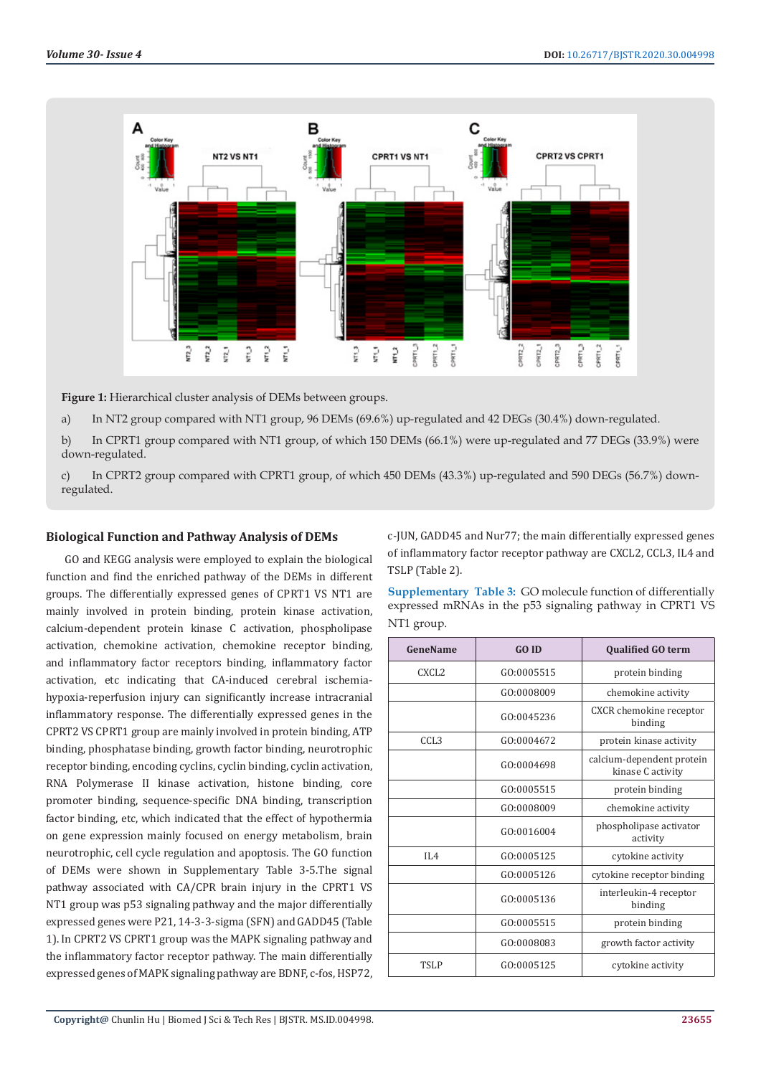

**Figure 1:** Hierarchical cluster analysis of DEMs between groups.

a) In NT2 group compared with NT1 group, 96 DEMs (69.6%) up-regulated and 42 DEGs (30.4%) down-regulated.

b) In CPRT1 group compared with NT1 group, of which 150 DEMs (66.1%) were up-regulated and 77 DEGs (33.9%) were down-regulated.

c) In CPRT2 group compared with CPRT1 group, of which 450 DEMs (43.3%) up-regulated and 590 DEGs (56.7%) downregulated.

#### **Biological Function and Pathway Analysis of DEMs**

GO and KEGG analysis were employed to explain the biological function and find the enriched pathway of the DEMs in different groups. The differentially expressed genes of CPRT1 VS NT1 are mainly involved in protein binding, protein kinase activation, calcium-dependent protein kinase C activation, phospholipase activation, chemokine activation, chemokine receptor binding, and inflammatory factor receptors binding, inflammatory factor activation, etc indicating that CA-induced cerebral ischemiahypoxia-reperfusion injury can significantly increase intracranial inflammatory response. The differentially expressed genes in the CPRT2 VS CPRT1 group are mainly involved in protein binding, ATP binding, phosphatase binding, growth factor binding, neurotrophic receptor binding, encoding cyclins, cyclin binding, cyclin activation, RNA Polymerase II kinase activation, histone binding, core promoter binding, sequence-specific DNA binding, transcription factor binding, etc, which indicated that the effect of hypothermia on gene expression mainly focused on energy metabolism, brain neurotrophic, cell cycle regulation and apoptosis. The GO function of DEMs were shown in Supplementary Table 3-5.The signal pathway associated with CA/CPR brain injury in the CPRT1 VS NT1 group was p53 signaling pathway and the major differentially expressed genes were P21, 14-3-3-sigma (SFN) and GADD45 (Table 1). In CPRT2 VS CPRT1 group was the MAPK signaling pathway and the inflammatory factor receptor pathway. The main differentially expressed genes of MAPK signaling pathway are BDNF, c-fos, HSP72,

c-JUN, GADD45 and Nur77; the main differentially expressed genes of inflammatory factor receptor pathway are CXCL2, CCL3, IL4 and TSLP (Table 2).

**Supplementary Table 3:** GO molecule function of differentially expressed mRNAs in the p53 signaling pathway in CPRT1 VS NT1 group.

| GeneName          | <b>GO ID</b> | <b>Qualified GO term</b>                       |
|-------------------|--------------|------------------------------------------------|
| CXCL <sub>2</sub> | GO:0005515   | protein binding                                |
|                   | GO:0008009   | chemokine activity                             |
|                   | GO:0045236   | CXCR chemokine receptor<br>binding             |
| CCL <sub>3</sub>  | GO:0004672   | protein kinase activity                        |
|                   | GO:0004698   | calcium-dependent protein<br>kinase C activity |
|                   | GO:0005515   | protein binding                                |
|                   | GO:0008009   | chemokine activity                             |
|                   | GO:0016004   | phospholipase activator<br>activity            |
| II.4              | GO:0005125   | cytokine activity                              |
|                   | GO:0005126   | cytokine receptor binding                      |
|                   | GO:0005136   | interleukin-4 receptor<br>binding              |
|                   | GO:0005515   | protein binding                                |
|                   | GO:0008083   | growth factor activity                         |
| <b>TSLP</b>       | GO:0005125   | cytokine activity                              |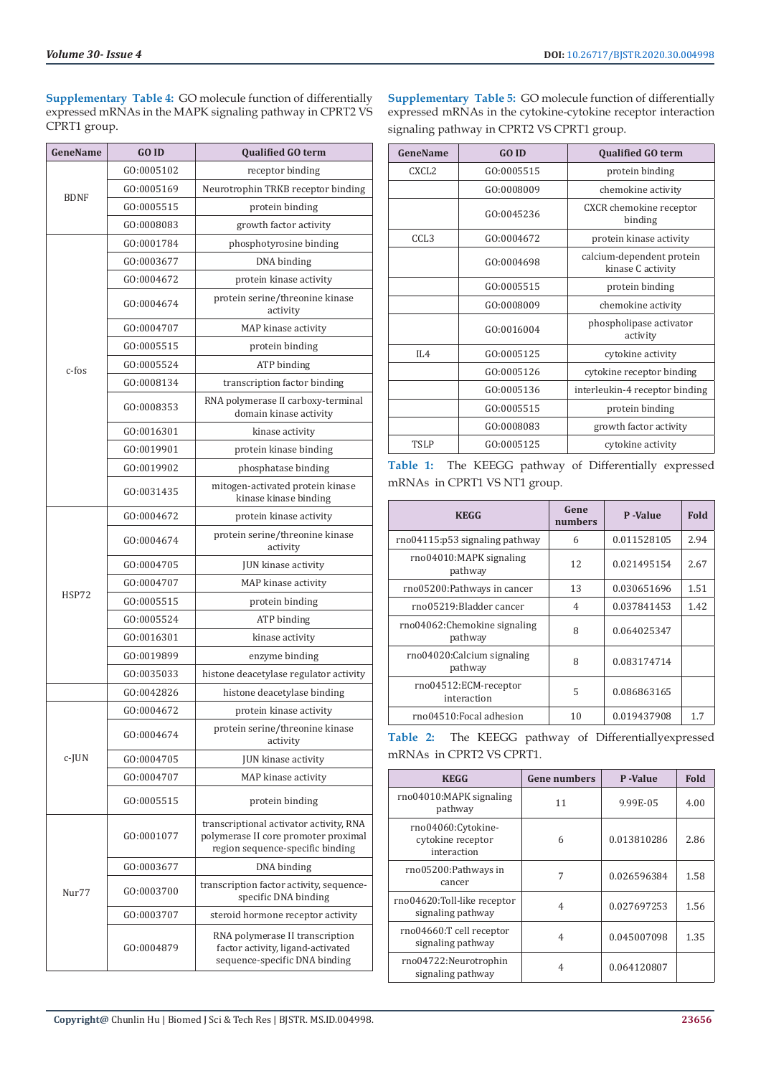**Supplementary Table 4:** GO molecule function of differentially expressed mRNAs in the MAPK signaling pathway in CPRT2 VS CPRT1 group.

| <b>GeneName</b> | <b>GOID</b> | <b>Qualified GO term</b>                                                                                            |
|-----------------|-------------|---------------------------------------------------------------------------------------------------------------------|
|                 | GO:0005102  | receptor binding                                                                                                    |
|                 | GO:0005169  | Neurotrophin TRKB receptor binding                                                                                  |
| <b>BDNF</b>     | GO:0005515  | protein binding                                                                                                     |
|                 | GO:0008083  | growth factor activity                                                                                              |
|                 | GO:0001784  | phosphotyrosine binding                                                                                             |
|                 | GO:0003677  | DNA binding                                                                                                         |
|                 | GO:0004672  | protein kinase activity                                                                                             |
|                 | GO:0004674  | protein serine/threonine kinase<br>activity                                                                         |
|                 | GO:0004707  | MAP kinase activity                                                                                                 |
|                 | GO:0005515  | protein binding                                                                                                     |
| c-fos           | GO:0005524  | ATP binding                                                                                                         |
|                 | GO:0008134  | transcription factor binding                                                                                        |
|                 | GO:0008353  | RNA polymerase II carboxy-terminal<br>domain kinase activity                                                        |
|                 | GO:0016301  | kinase activity                                                                                                     |
|                 | GO:0019901  | protein kinase binding                                                                                              |
|                 | GO:0019902  | phosphatase binding                                                                                                 |
|                 | GO:0031435  | mitogen-activated protein kinase<br>kinase kinase binding                                                           |
|                 | GO:0004672  | protein kinase activity                                                                                             |
|                 | GO:0004674  | protein serine/threonine kinase<br>activity                                                                         |
|                 | GO:0004705  | JUN kinase activity                                                                                                 |
|                 | GO:0004707  | MAP kinase activity                                                                                                 |
| HSP72           | GO:0005515  | protein binding                                                                                                     |
|                 | GO:0005524  | ATP binding                                                                                                         |
|                 | GO:0016301  | kinase activity                                                                                                     |
|                 | GO:0019899  | enzyme binding                                                                                                      |
|                 | GO:0035033  | histone deacetylase regulator activity                                                                              |
|                 | GO:0042826  | histone deacetylase binding                                                                                         |
|                 | GO:0004672  | protein kinase activity                                                                                             |
|                 | GO:0004674  | protein serine/threonine kinase<br>activity                                                                         |
| c-JUN           | GO:0004705  | JUN kinase activity                                                                                                 |
|                 | GO:0004707  | MAP kinase activity                                                                                                 |
|                 | GO:0005515  | protein binding                                                                                                     |
|                 | GO:0001077  | transcriptional activator activity, RNA<br>polymerase II core promoter proximal<br>region sequence-specific binding |
|                 | GO:0003677  | DNA binding                                                                                                         |
| Nur77           | GO:0003700  | transcription factor activity, sequence-<br>specific DNA binding                                                    |
|                 | GO:0003707  | steroid hormone receptor activity                                                                                   |
|                 | GO:0004879  | RNA polymerase II transcription<br>factor activity, ligand-activated<br>sequence-specific DNA binding               |

**Supplementary Table 5:** GO molecule function of differentially expressed mRNAs in the cytokine-cytokine receptor interaction signaling pathway in CPRT2 VS CPRT1 group.

| GeneName          | <b>GO ID</b> | <b>Qualified GO term</b>                       |
|-------------------|--------------|------------------------------------------------|
| CXCL <sub>2</sub> | GO:0005515   | protein binding                                |
|                   | GO:0008009   | chemokine activity                             |
|                   | GO:0045236   | CXCR chemokine receptor<br>binding             |
| CCL <sub>3</sub>  | GO:0004672   | protein kinase activity                        |
|                   | GO:0004698   | calcium-dependent protein<br>kinase C activity |
|                   | GO:0005515   | protein binding                                |
|                   | GO:0008009   | chemokine activity                             |
|                   | GO:0016004   | phospholipase activator<br>activity            |
| IL4               | GO:0005125   | cytokine activity                              |
|                   | GO:0005126   | cytokine receptor binding                      |
|                   | GO:0005136   | interleukin-4 receptor binding                 |
|                   | GO:0005515   | protein binding                                |
|                   | GO:0008083   | growth factor activity                         |
| <b>TSLP</b>       | GO:0005125   | cytokine activity                              |

**Table 1:** The KEEGG pathway of Differentially expressed mRNAs in CPRT1 VS NT1 group.

| <b>KEGG</b>                              | Gene<br>numbers | P-Value     | Fold |
|------------------------------------------|-----------------|-------------|------|
| $\text{rno04115:}$ p53 signaling pathway | 6               | 0.011528105 | 2.94 |
| rno04010:MAPK signaling<br>pathway       | 12              | 0.021495154 |      |
| rno05200:Pathways in cancer              | 13              | 0.030651696 | 1.51 |
| rno05219:Bladder cancer                  | 4               | 0.037841453 | 1.42 |
| rno04062: Chemokine signaling<br>pathway | 8               | 0.064025347 |      |
| rno04020:Calcium signaling<br>pathway    | 8               | 0.083174714 |      |
| rno04512:ECM-receptor<br>interaction     | 5               | 0.086863165 |      |
| rno04510: Focal adhesion                 | 10              | 0.019437908 | 1.7  |

**Table 2:** The KEEGG pathway of Differentiallyexpressed mRNAs in CPRT2 VS CPRT1.

| <b>KEGG</b>                                            | <b>Gene numbers</b> | P-Value     | <b>Fold</b> |
|--------------------------------------------------------|---------------------|-------------|-------------|
| rno04010:MAPK signaling<br>pathway                     | 11                  | 9.99E-05    | 4.00        |
| rno04060:Cytokine-<br>cytokine receptor<br>interaction | 6                   | 0.013810286 | 2.86        |
| rno05200:Pathways in<br>cancer                         | 7                   | 0.026596384 | 1.58        |
| rno04620:Toll-like receptor<br>signaling pathway       | 4                   | 0.027697253 | 1.56        |
| rno04660:T cell receptor<br>signaling pathway          | 4                   | 0.045007098 | 1.35        |
| rno04722:Neurotrophin<br>signaling pathway             | 4                   | 0.064120807 |             |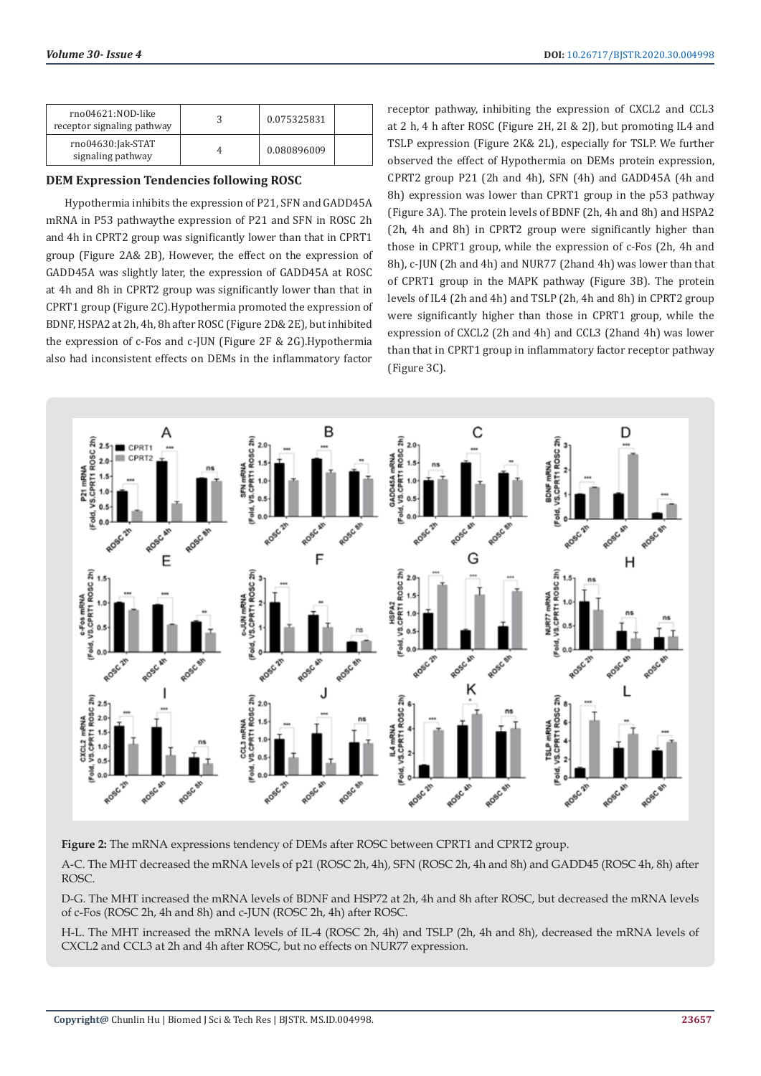| rno04621:NOD-like<br>receptor signaling pathway | 0.075325831 |  |
|-------------------------------------------------|-------------|--|
| rno04630:Jak-STAT<br>signaling pathway          | 0.080896009 |  |

# **DEM Expression Tendencies following ROSC**

Hypothermia inhibits the expression of P21, SFN and GADD45A mRNA in P53 pathwaythe expression of P21 and SFN in ROSC 2h and 4h in CPRT2 group was significantly lower than that in CPRT1 group (Figure 2A& 2B), However, the effect on the expression of GADD45A was slightly later, the expression of GADD45A at ROSC at 4h and 8h in CPRT2 group was significantly lower than that in CPRT1 group (Figure 2C).Hypothermia promoted the expression of BDNF, HSPA2 at 2h, 4h, 8h after ROSC (Figure 2D& 2E), but inhibited the expression of c-Fos and c-JUN (Figure 2F & 2G).Hypothermia also had inconsistent effects on DEMs in the inflammatory factor

receptor pathway, inhibiting the expression of CXCL2 and CCL3 at 2 h, 4 h after ROSC (Figure 2H, 2I & 2J), but promoting IL4 and TSLP expression (Figure 2K& 2L), especially for TSLP. We further observed the effect of Hypothermia on DEMs protein expression, CPRT2 group P21 (2h and 4h), SFN (4h) and GADD45A (4h and 8h) expression was lower than CPRT1 group in the p53 pathway (Figure 3A). The protein levels of BDNF (2h, 4h and 8h) and HSPA2 (2h, 4h and 8h) in CPRT2 group were significantly higher than those in CPRT1 group, while the expression of c-Fos (2h, 4h and 8h), c-JUN (2h and 4h) and NUR77 (2hand 4h) was lower than that of CPRT1 group in the MAPK pathway (Figure 3B). The protein levels of IL4 (2h and 4h) and TSLP (2h, 4h and 8h) in CPRT2 group were significantly higher than those in CPRT1 group, while the expression of CXCL2 (2h and 4h) and CCL3 (2hand 4h) was lower than that in CPRT1 group in inflammatory factor receptor pathway (Figure 3C).



**Figure 2:** The mRNA expressions tendency of DEMs after ROSC between CPRT1 and CPRT2 group.

A-C. The MHT decreased the mRNA levels of p21 (ROSC 2h, 4h), SFN (ROSC 2h, 4h and 8h) and GADD45 (ROSC 4h, 8h) after ROSC.

D-G. The MHT increased the mRNA levels of BDNF and HSP72 at 2h, 4h and 8h after ROSC, but decreased the mRNA levels of c-Fos (ROSC 2h, 4h and 8h) and c-JUN (ROSC 2h, 4h) after ROSC.

H-L. The MHT increased the mRNA levels of IL-4 (ROSC 2h, 4h) and TSLP (2h, 4h and 8h), decreased the mRNA levels of CXCL2 and CCL3 at 2h and 4h after ROSC, but no effects on NUR77 expression.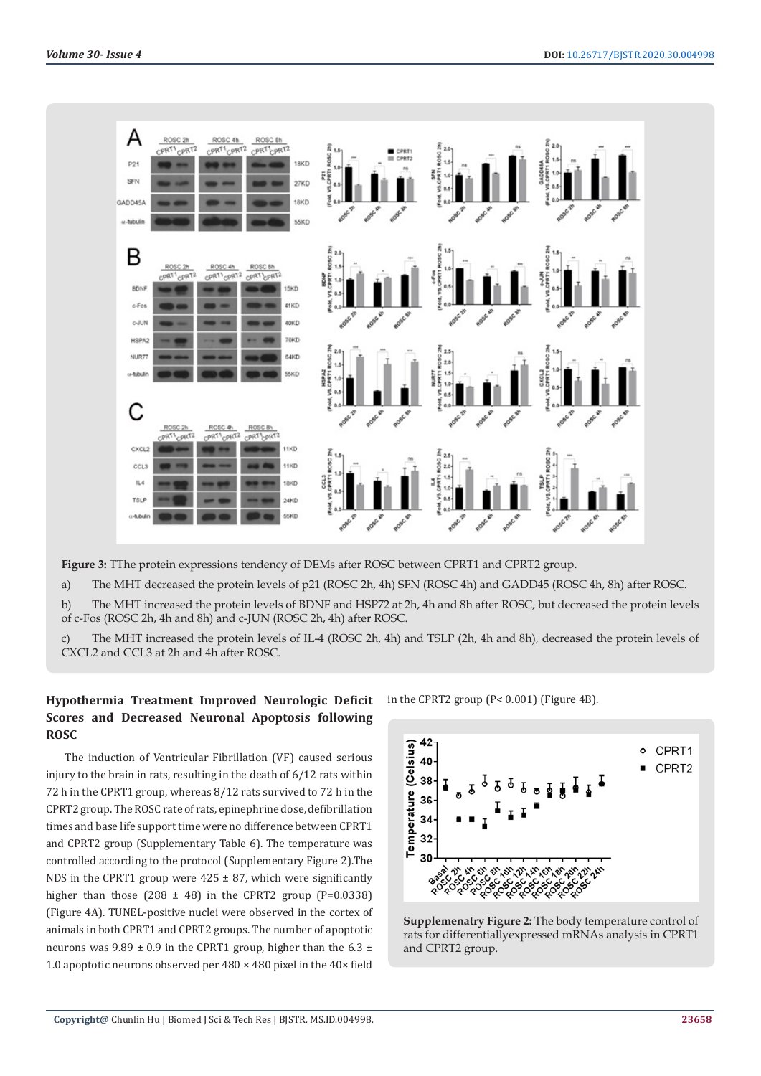

**Figure 3:** TThe protein expressions tendency of DEMs after ROSC between CPRT1 and CPRT2 group.

a) The MHT decreased the protein levels of p21 (ROSC 2h, 4h) SFN (ROSC 4h) and GADD45 (ROSC 4h, 8h) after ROSC.

b) The MHT increased the protein levels of BDNF and HSP72 at 2h, 4h and 8h after ROSC, but decreased the protein levels of c-Fos (ROSC 2h, 4h and 8h) and c-JUN (ROSC 2h, 4h) after ROSC.

c) The MHT increased the protein levels of IL-4 (ROSC 2h, 4h) and TSLP (2h, 4h and 8h), decreased the protein levels of CXCL2 and CCL3 at 2h and 4h after ROSC.

# **Hypothermia Treatment Improved Neurologic Deficit Scores and Decreased Neuronal Apoptosis following ROSC**

The induction of Ventricular Fibrillation (VF) caused serious injury to the brain in rats, resulting in the death of 6/12 rats within 72 h in the CPRT1 group, whereas 8/12 rats survived to 72 h in the CPRT2 group. The ROSC rate of rats, epinephrine dose, defibrillation times and base life support time were no difference between CPRT1 and CPRT2 group (Supplementary Table 6). The temperature was controlled according to the protocol (Supplementary Figure 2).The NDS in the CPRT1 group were  $425 \pm 87$ , which were significantly higher than those (288  $\pm$  48) in the CPRT2 group (P=0.0338) (Figure 4A). TUNEL-positive nuclei were observed in the cortex of animals in both CPRT1 and CPRT2 groups. The number of apoptotic neurons was  $9.89 \pm 0.9$  in the CPRT1 group, higher than the 6.3  $\pm$ 1.0 apoptotic neurons observed per  $480 \times 480$  pixel in the  $40 \times$  field

in the CPRT2 group (P< 0.001) (Figure 4B).



**Supplemenatry Figure 2:** The body temperature control of rats for differentiallyexpressed mRNAs analysis in CPRT1 and CPRT2 group.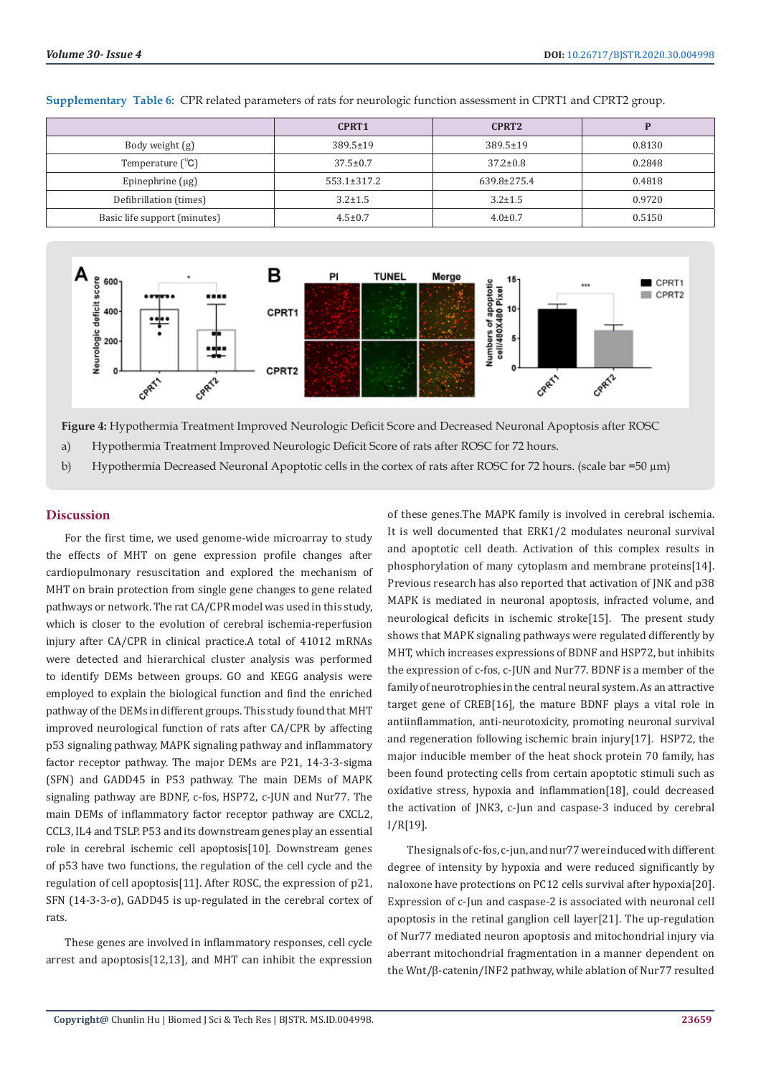|                              | CPRT <sub>1</sub> | CPRT <sub>2</sub> |        |
|------------------------------|-------------------|-------------------|--------|
| Body weight (g)              | $389.5 \pm 19$    | $389.5 \pm 19$    | 0.8130 |
| Temperature $(^{\circ}C)$    | $37.5 \pm 0.7$    | $37.2 \pm 0.8$    | 0.2848 |
| Epinephrine $(\mu g)$        | $553.1 \pm 317.2$ | $639.8 \pm 275.4$ | 0.4818 |
| Defibrillation (times)       | $3.2 \pm 1.5$     | $3.2 \pm 1.5$     | 0.9720 |
| Basic life support (minutes) | $4.5 \pm 0.7$     | $4.0 \pm 0.7$     | 0.5150 |

#### **Supplementary Table 6:** CPR related parameters of rats for neurologic function assessment in CPRT1 and CPRT2 group.



**Figure 4:** Hypothermia Treatment Improved Neurologic Deficit Score and Decreased Neuronal Apoptosis after ROSC

- a) Hypothermia Treatment Improved Neurologic Deficit Score of rats after ROSC for 72 hours.
- b) Hypothermia Decreased Neuronal Apoptotic cells in the cortex of rats after ROSC for 72 hours. (scale bar =50 µm)

#### **Discussion**

For the first time, we used genome-wide microarray to study the effects of MHT on gene expression profile changes after cardiopulmonary resuscitation and explored the mechanism of MHT on brain protection from single gene changes to gene related pathways or network. The rat CA/CPR model was used in this study, which is closer to the evolution of cerebral ischemia-reperfusion injury after CA/CPR in clinical practice.A total of 41012 mRNAs were detected and hierarchical cluster analysis was performed to identify DEMs between groups. GO and KEGG analysis were employed to explain the biological function and find the enriched pathway of the DEMs in different groups. This study found that MHT improved neurological function of rats after CA/CPR by affecting p53 signaling pathway, MAPK signaling pathway and inflammatory factor receptor pathway. The major DEMs are P21, 14-3-3-sigma (SFN) and GADD45 in P53 pathway. The main DEMs of MAPK signaling pathway are BDNF, c-fos, HSP72, c-JUN and Nur77. The main DEMs of inflammatory factor receptor pathway are CXCL2, CCL3, IL4 and TSLP. P53 and its downstream genes play an essential role in cerebral ischemic cell apoptosis[10]. Downstream genes of p53 have two functions, the regulation of the cell cycle and the regulation of cell apoptosis[11]. After ROSC, the expression of p21, SFN (14-3-3-σ), GADD45 is up-regulated in the cerebral cortex of rats.

These genes are involved in inflammatory responses, cell cycle arrest and apoptosis[12,13], and MHT can inhibit the expression

of these genes.The MAPK family is involved in cerebral ischemia. It is well documented that ERK1/2 modulates neuronal survival and apoptotic cell death. Activation of this complex results in phosphorylation of many cytoplasm and membrane proteins[14]. Previous research has also reported that activation of JNK and p38 MAPK is mediated in neuronal apoptosis, infracted volume, and neurological deficits in ischemic stroke[15]. The present study shows that MAPK signaling pathways were regulated differently by MHT, which increases expressions of BDNF and HSP72, but inhibits the expression of c-fos, c-JUN and Nur77. BDNF is a member of the family of neurotrophies in the central neural system. As an attractive target gene of CREB[16], the mature BDNF plays a vital role in antiinflammation, anti-neurotoxicity, promoting neuronal survival and regeneration following ischemic brain injury[17]. HSP72, the major inducible member of the heat shock protein 70 family, has been found protecting cells from certain apoptotic stimuli such as oxidative stress, hypoxia and inflammation[18], could decreased the activation of JNK3, c-Jun and caspase-3 induced by cerebral I/R[19].

The signals of c-fos, c-jun, and nur77 were induced with different degree of intensity by hypoxia and were reduced significantly by naloxone have protections on PC12 cells survival after hypoxia[20]. Expression of c-Jun and caspase-2 is associated with neuronal cell apoptosis in the retinal ganglion cell layer[21]. The up-regulation of Nur77 mediated neuron apoptosis and mitochondrial injury via aberrant mitochondrial fragmentation in a manner dependent on the Wnt/β-catenin/INF2 pathway, while ablation of Nur77 resulted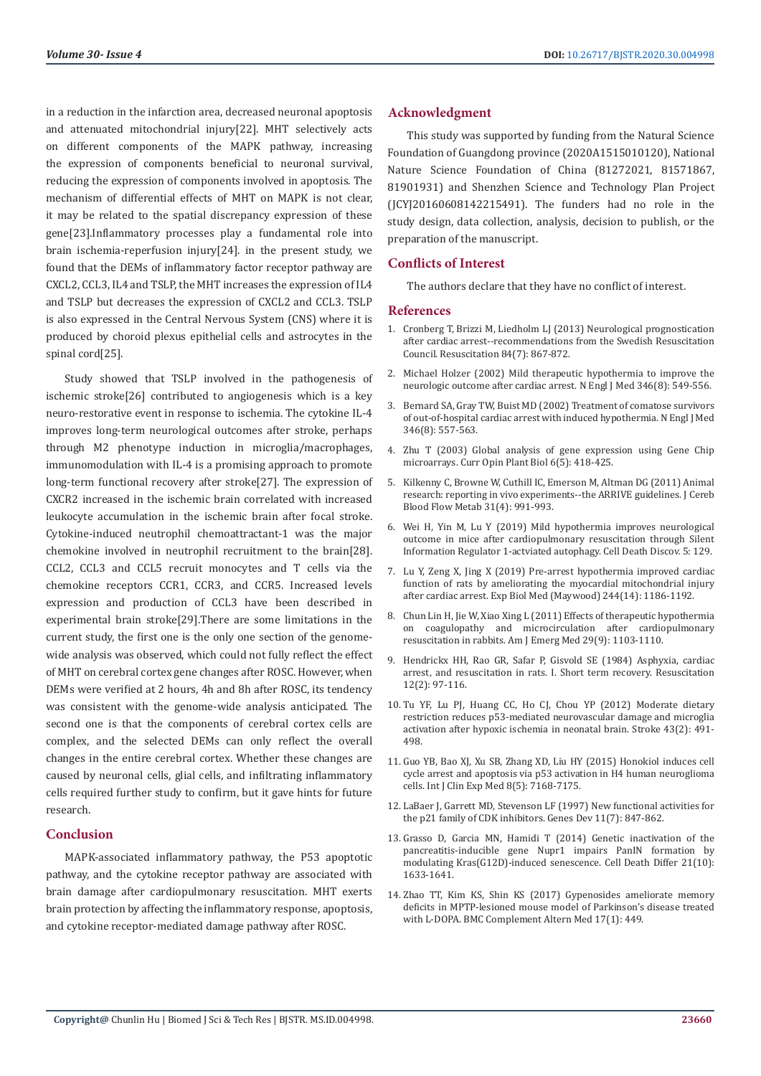in a reduction in the infarction area, decreased neuronal apoptosis and attenuated mitochondrial injury[22]. MHT selectively acts on different components of the MAPK pathway, increasing the expression of components beneficial to neuronal survival, reducing the expression of components involved in apoptosis. The mechanism of differential effects of MHT on MAPK is not clear, it may be related to the spatial discrepancy expression of these gene[23].Inflammatory processes play a fundamental role into brain ischemia-reperfusion injury[24]. in the present study, we found that the DEMs of inflammatory factor receptor pathway are CXCL2, CCL3, IL4 and TSLP, the MHT increases the expression of IL4 and TSLP but decreases the expression of CXCL2 and CCL3. TSLP is also expressed in the Central Nervous System (CNS) where it is produced by choroid plexus epithelial cells and astrocytes in the spinal cord[25].

Study showed that TSLP involved in the pathogenesis of ischemic stroke[26] contributed to angiogenesis which is a key neuro-restorative event in response to ischemia. The cytokine IL-4 improves long-term neurological outcomes after stroke, perhaps through M2 phenotype induction in microglia/macrophages, immunomodulation with IL-4 is a promising approach to promote long-term functional recovery after stroke[27]. The expression of CXCR2 increased in the ischemic brain correlated with increased leukocyte accumulation in the ischemic brain after focal stroke. Cytokine-induced neutrophil chemoattractant-1 was the major chemokine involved in neutrophil recruitment to the brain[28]. CCL2, CCL3 and CCL5 recruit monocytes and T cells via the chemokine receptors CCR1, CCR3, and CCR5. Increased levels expression and production of CCL3 have been described in experimental brain stroke[29].There are some limitations in the current study, the first one is the only one section of the genomewide analysis was observed, which could not fully reflect the effect of MHT on cerebral cortex gene changes after ROSC. However, when DEMs were verified at 2 hours, 4h and 8h after ROSC, its tendency was consistent with the genome-wide analysis anticipated. The second one is that the components of cerebral cortex cells are complex, and the selected DEMs can only reflect the overall changes in the entire cerebral cortex. Whether these changes are caused by neuronal cells, glial cells, and infiltrating inflammatory cells required further study to confirm, but it gave hints for future research.

### **Conclusion**

MAPK-associated inflammatory pathway, the P53 apoptotic pathway, and the cytokine receptor pathway are associated with brain damage after cardiopulmonary resuscitation. MHT exerts brain protection by affecting the inflammatory response, apoptosis, and cytokine receptor-mediated damage pathway after ROSC.

#### **Acknowledgment**

This study was supported by funding from the Natural Science Foundation of Guangdong province (2020A1515010120), National Nature Science Foundation of China (81272021, 81571867, 81901931) and Shenzhen Science and Technology Plan Project (JCYJ20160608142215491). The funders had no role in the study design, data collection, analysis, decision to publish, or the preparation of the manuscript.

#### **Conflicts of Interest**

The authors declare that they have no conflict of interest.

#### **References**

- 1. [Cronberg T, Brizzi M, Liedholm LJ \(2013\) Neurological prognostication](https://www.researchgate.net/publication/235390965_Neurological_prognostication_after_cardiac_arrest-Recommendations_from_the_Swedish_Resuscitation_Council) [after cardiac arrest--recommendations from the Swedish Resuscitation](https://www.researchgate.net/publication/235390965_Neurological_prognostication_after_cardiac_arrest-Recommendations_from_the_Swedish_Resuscitation_Council) [Council. Resuscitation 84\(7\): 867-872.](https://www.researchgate.net/publication/235390965_Neurological_prognostication_after_cardiac_arrest-Recommendations_from_the_Swedish_Resuscitation_Council)
- 2. [Michael Holzer \(2002\) Mild therapeutic hypothermia to improve the](https://www.nejm.org/doi/full/10.1056/nejmoa012689) [neurologic outcome after cardiac arrest. N Engl J Med 346\(8\): 549-556](https://www.nejm.org/doi/full/10.1056/nejmoa012689).
- 3. [Bernard SA, Gray TW, Buist MD \(2002\) Treatment of comatose survivors](https://www.nejm.org/doi/pdf/10.1056/NEJMoa003289) [of out-of-hospital cardiac arrest with induced hypothermia. N Engl J Med](https://www.nejm.org/doi/pdf/10.1056/NEJMoa003289) [346\(8\): 557-563.](https://www.nejm.org/doi/pdf/10.1056/NEJMoa003289)
- 4. [Zhu T \(2003\) Global analysis of gene expression using Gene Chip](https://www.sciencedirect.com/science/article/abs/pii/S1369526603000839) [microarrays. Curr Opin Plant Biol 6\(5\): 418-425.](https://www.sciencedirect.com/science/article/abs/pii/S1369526603000839)
- 5. [Kilkenny C, Browne W, Cuthill IC, Emerson M, Altman DG \(2011\) Animal](https://europepmc.org/article/med/21206507) [research: reporting in vivo experiments--the ARRIVE guidelines. J Cereb](https://europepmc.org/article/med/21206507) [Blood Flow Metab 31\(4\): 991-993.](https://europepmc.org/article/med/21206507)
- 6. Wei H, Yin M, Lu Y (2019) Mild hypothermia improves neurological outcome in mice after cardiopulmonary resuscitation through Silent Information Regulator 1-actviated autophagy. Cell Death Discov. 5: 129.
- 7. [Lu Y, Zeng X, Jing X \(2019\) Pre-arrest hypothermia improved cardiac](https://journals.sagepub.com/doi/abs/10.1177/1535370219875434) [function of rats by ameliorating the myocardial mitochondrial injury](https://journals.sagepub.com/doi/abs/10.1177/1535370219875434) [after cardiac arrest. Exp Biol Med \(Maywood\) 244\(14\): 1186-1192.](https://journals.sagepub.com/doi/abs/10.1177/1535370219875434)
- 8. Chun Lin H, Jie W, Xiao Xing L (2011) Effects of therapeutic hypothermia on coagulopathy and microcirculation after cardiopulmonary resuscitation in rabbits. Am J Emerg Med 29(9): 1103-1110.
- 9. [Hendrickx HH, Rao GR, Safar P, Gisvold SE \(1984\) Asphyxia, cardiac](https://europepmc.org/article/med/6091201) [arrest, and resuscitation in rats. I. Short term recovery. Resuscitation](https://europepmc.org/article/med/6091201) [12\(2\): 97-116.](https://europepmc.org/article/med/6091201)
- 10. [Tu YF, Lu PJ, Huang CC, Ho CJ, Chou YP \(2012\) Moderate dietary](https://www.ahajournals.org/doi/10.1161/STROKEAHA.111.629931) [restriction reduces p53-mediated neurovascular damage and microglia](https://www.ahajournals.org/doi/10.1161/STROKEAHA.111.629931) [activation after hypoxic ischemia in neonatal brain. Stroke 43\(2\): 491-](https://www.ahajournals.org/doi/10.1161/STROKEAHA.111.629931) [498.](https://www.ahajournals.org/doi/10.1161/STROKEAHA.111.629931)
- 11. [Guo YB, Bao XJ, Xu SB, Zhang XD, Liu HY \(2015\) Honokiol induces cell](https://www.researchgate.net/publication/280587437_Honokiol_induces_cell_cycle_arrest_and_apoptosis_via_p53_activation_in_H4_human_neuroglioma_cells) [cycle arrest and apoptosis via p53 activation in H4 human neuroglioma](https://www.researchgate.net/publication/280587437_Honokiol_induces_cell_cycle_arrest_and_apoptosis_via_p53_activation_in_H4_human_neuroglioma_cells) [cells. Int J Clin Exp Med 8\(5\): 7168-7175.](https://www.researchgate.net/publication/280587437_Honokiol_induces_cell_cycle_arrest_and_apoptosis_via_p53_activation_in_H4_human_neuroglioma_cells)
- 12. [LaBaer J, Garrett MD, Stevenson LF \(1997\) New functional activities for](https://www.researchgate.net/publication/14110455_New_functional_activities_for_the_p21_family_of_CDK_inhibitors) [the p21 family of CDK inhibitors. Genes Dev 11\(7\): 847-862.](https://www.researchgate.net/publication/14110455_New_functional_activities_for_the_p21_family_of_CDK_inhibitors)
- 13. [Grasso D, Garcia MN, Hamidi T \(2014\) Genetic inactivation of the](https://www.researchgate.net/publication/262929874_Genetic_inactivation_of_the_pancreatitis-inducible_gene_Nupr1_impairs_PanIN_formation_by_modulating_KrasG12D-induced_senescence) [pancreatitis-inducible gene Nupr1 impairs PanIN formation by](https://www.researchgate.net/publication/262929874_Genetic_inactivation_of_the_pancreatitis-inducible_gene_Nupr1_impairs_PanIN_formation_by_modulating_KrasG12D-induced_senescence) [modulating Kras\(G12D\)-induced senescence. Cell Death Differ 21\(10\):](https://www.researchgate.net/publication/262929874_Genetic_inactivation_of_the_pancreatitis-inducible_gene_Nupr1_impairs_PanIN_formation_by_modulating_KrasG12D-induced_senescence) [1633-1641.](https://www.researchgate.net/publication/262929874_Genetic_inactivation_of_the_pancreatitis-inducible_gene_Nupr1_impairs_PanIN_formation_by_modulating_KrasG12D-induced_senescence)
- 14. [Zhao TT, Kim KS, Shin KS \(2017\) Gypenosides ameliorate memory](https://www.researchgate.net/publication/319560378_Gypenosides_ameliorate_memory_deficits_in_MPTP-lesioned_mouse_model_of_Parkinson) [deficits in MPTP-lesioned mouse model of Parkinson's disease treated](https://www.researchgate.net/publication/319560378_Gypenosides_ameliorate_memory_deficits_in_MPTP-lesioned_mouse_model_of_Parkinson) [with L-DOPA. BMC Complement Altern Med 17\(1\): 449.](https://www.researchgate.net/publication/319560378_Gypenosides_ameliorate_memory_deficits_in_MPTP-lesioned_mouse_model_of_Parkinson)